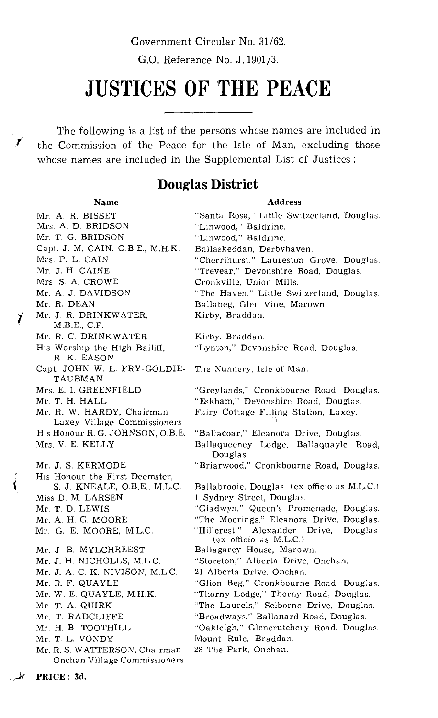G.O. Reference No. J. 1901/3.

# **JUSTICES OF THE PEACE**

The following is a list of the persons whose names are included in the Commission of the Peace for the Isle of Man, excluding those whose names are included in the Supplemental List of Justices :

# **Douglas District**

PRICE : 3d.

#### Name Address

Mr. R. DEAN<br>1917 Mr. J. R. DRI Mr. A. R. BISSET "Santa Rosa," Little Switzerland, Douglas. Mrs. A. D. BRIDSON "Linwood," Baldrine. "Linwood," Baldrine. Capt. J. M. CAIN, O.B.E., M.H.K. Ballaskeddan, Derbyhaven. Mrs. P. L. CAIN "Cherrihurst," Laureston Grove, Douglas. Mr. J. H. CAINE "Trevear," Devonshire Road, Douglas. Mrs. S. A. CROWE Cronkville, Union Mills. Mr. A. J. DAVIDSON "The Haven," Little Switzerland, Douglas. Ballabeg, Glen Vine, Marown. Mr. J. R. DRINKWATER, Kirby, Braddan. M.B.E., C.P. Mr. R. C. DRINKWATER Kirby, Braddan.<br>His Worship the High Bailiff, "Lynton," Devon "Lynton," Devonshire Road, Douglas. R. K. EASON Capt. JOHN W. L. FRY-GOLDIE- The Nunnery, Isle of Man. TAUBMAN Mrs. E. I. GREENFIELD "Greylands," Cronkbourne Road, Douglas.<br>Mr. T. H. HALL ""Eskham," Devonshire Road, Douglas. Mr. T. H. HALL "Eskham," Devonshire Road, Douglas.<br>Mr. R. W. HARDY, Chairman Fairy Cottage Filling Station, Laxey. Fairy Cottage Filling Station, Laxey. Laxey Village Commissioners His Honour R. G. JOHNSON, O.B.E. "Ballacoar," Eleanora Drive, Douglas. Mrs. V. E. KELLY Ballaqueeney Lodge. Ballaquayle Road, Douglas. Mr. J. S. KERMODE "Briarwood," Cronkbourne Road, Douglas. His Honour the First Deemster,<br>S. J. KNEALE, O.B.E., M.L.C. S. J. KNEALE, O.B.E., M.L.C. Ballabrooie, Douglas (ex officio as M.L.C.)<br>Miss D. M. LARSEN 1 Sydney Street, Douglas. Miss D. M. LARSEN 1 Sydney Street, Douglas. "Gladwyn," Queen's Promenade, Douglas. Mr. A. H. G. MOORE "The Moorings," Eleanora Drive, Douglas.<br>Mr. G. E. MOORE, M.L.C. "Hillcrest," Alexander Drive, Douglas "Hillcrest," Alexander Drive, Douglas (ex officio as M.L.C.) Mr. J. B. MYLCHREEST Ballagarey House, Marown.<br>Mr. J. H. NICHOLLS, M.L.C. "Storeton," Alberta Drive, C "Storeton," Alberta Drive, Onchan. Mr. J. A. C. K. NIVISON, M.L.C. 21 Alberta Drive, Onchan. Mr. R. F. QUAYLE "Glion Beg," Cronkbourne Road, Douglas.<br>Mr. W. E. QUAYLE, M.H.K. "Thorny Lodge," Thorny Road, Douglas. "Thorny Lodge," Thorny Road, Douglas. Mr. T. A. QUIRK "The Laurels," Selborne Drive, Douglas.<br>Mr. T. RADCLIFFE "Broadways," Ballanard Road, Douglas. "Broadways," Ballanard Road, Douglas. Mr. H. B TOOTHILL "Oakleigh," Glencrutchery Road, Douglas.<br>Mr. T. L. VONDY Mount Rule, Braddan. Mount Rule, Braddan.<br>28 The Park, Onchan. Mr. R. S. WATTERSON, Chairman Onchan Village Commissioners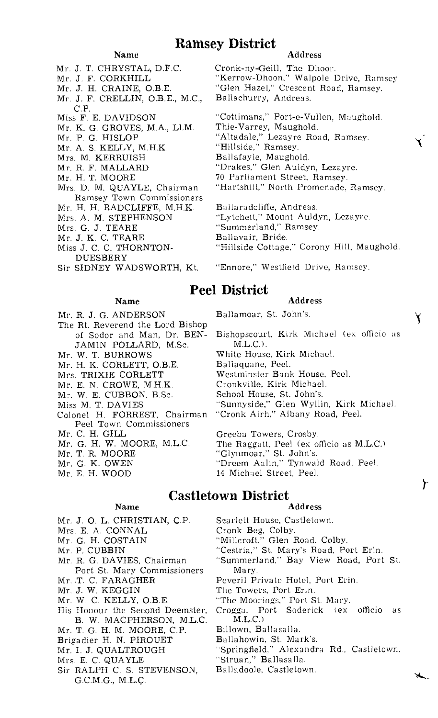# Ramsey District

### Name

- Mr. J. T. CHRYSTAL, D.F.C.
- Mr. J. F. CORKHILL
- Mr. J. H. CRAINE,
- Mr. J. F. CRELLIN, O.B.E., M.C., C.P.
- Miss F. E. DAVIDSON
- Mr. K. G. GROVES, M.A., Ll.M.
- Mr. P. *G.* HISLOP
- Mr. A. S. KELLY, M.H.K.
- Mrs. M. KERRUISH
- Mr. R. F. MALLARD
- Mr. H. T. MOORE
- Mrs. D. M. QUAYLE, Chairman Ramsey Town Commissioners
- Mr. H. H. RADCLIFFE, M.H.K.
- Mrs. A. M. STEPHENSON
- Mrs. G. J. TEARE
- Mr. J. K. C. TEARE
- Miss J. C. C. THORNTON-DUESBERY
- Sir SIDNEY WADSWORTH, Kt.

#### Name

- Mr. R. J. G. ANDERSON
- The Rt. Reverend the Lord Bishop of Sodor and Man, Dr. BEN-JAMIN POLLARD, M.Sc.
- Mr. W. T. BURROWS
- Mr. H. K. CORLETT, O.B.E.
- Mrs. TRIXIE CORLETT
- Mr. E. N. CROWE, M.H.K.
- M:•. W. E. CUBBON, B.Sc.
- Miss M. T. DAVIES
- Colonel H. FORREST, Chairman Peel Town Commissioners
- Mr. C. H. GILL
- Mr. G. H. W. MOORE, M.L.C.
- Mr. T. R. MOORE
- Mr. G. K. OWEN
- Mr. E. H. WOOD

- Mr. J. O. L. CHRISTIAN, C.P. Scarlett House, Castletown.<br>Mrs. E. A. CONNAL Cronk Beg, Colby.
- 
- Mrs. E. A. CONNAL<br>Mr. G. H. COSTAIN
- 
- 
- Port St. Mary Commissioners<br>Mr. T. C. FARAGHER
- 
- 
- Mr. J. W. KEGGIN The Towers, Port Erin.<br>Mr. W. C. KELLY, O.B.E. The Moorings," Port S
- Mr. W. C. KELLY, O.B.E. "The Moorings," Port St. Mary.<br>His Honour the Second Deemster, Crogga, Port Soderick (ex
- B. W. MACPHERSON, M.L.C. M.L.C.)<br>T. G. H. M. MOORE, C.P. Billown, Ballasalla. Mr. T. G. H. M. MOORE, C.P. Billown, Ballasalla.<br>Brigadier H. N. PIROUET Ballahowin, St. Mark's.
- Brigadier H. N. PIROUET<br>Mr. I. J. QUALTROUGH
- 
- 
- Mrs. E. C. QUAYLE "Struan," Ballasalla.<br>Sir RALPH C. S. STEVENSON. Balladoole, Castletown. Sir RALPH C. S. STEVENSON, G.C.M.G., M.L.C.

#### Address

Cronk-ny-Geill, The Dhoor. "Kerrow-Dhoon," Walpole Drive, Ramsey "Glen Hazel," Crescent Road, Ramsey. Ballachurry, Andreas.

"Cottimans," Port-e-Vullen, Maughold. Thie-Varrey, Maughold. "Altadale," Lezayre Road, Ramsey. "Hillside," Ramsey. Ballafayle, Maughold. "Drakes," Glen Auldyn, Lezayre. 70 Parliament Street, Ramsey. "Hartshill," North Promenade, Ramsey. Ballaradcliffe, Andreas. "Lytchett," Mount Auldyn, Lezayre.

- "Summerland," Ramsey.
- Ballavair, Bride.
- "Hillside Cottage," Corony Hill, Maughold.
- "Ennore," Westfield Drive, Ramsey.

# Peel District

#### Address

Ballamoar, St. John's.

Bishopscourt, Kirk Michael (ex officio as M.L.C.).

White House, Kirk Michael.

- Ballaquane, Peel.
- Westminster Bank House, Peel.
- Cronkville, Kirk Michael.
- School House, St. John's.
- "Sunnyside," Glen Wyllin, Kirk Michael.
- "Cronk Airh," Albany Road, Peel.

Greeba Towers, Crosby. The Raggatt, Peel (ex officio as M.L.C.) "Glynmoar," St. John's. "Dreem Aalin," Tynwald Road, Peel. 14 Michael Street, Peel.

# **Castletown District**

#### Name Address

- 
- Mr. G. H. COSTAIN "Millcroft," Glen Road, Colby.<br>Mr. P. CUBBIN "Cestria," St. Mary's Road, Po
	-
- Mr. P. CUBBIN "Cestria," St. Mary's Road, Port Erin.<br>Mr. R. G. DAVIES, Chairman "Summerland," Bay View Road, Port "Summerland," Bay View Road, Port St.<br>Mary.
- Mr. T. C. FARAGHER Peveril Private Hotel, Port Erin.<br>Mr. J. W. KEGGIN The Towers, Port Erin.
	-
	-
	- Crogga, Port Soderick (ex officio as M.L.C.)
	-
	-
	- "Springfield," Alexandra Rd., Castletown.<br>"Struan," Ballasalla.
	-
	-

Y

ት